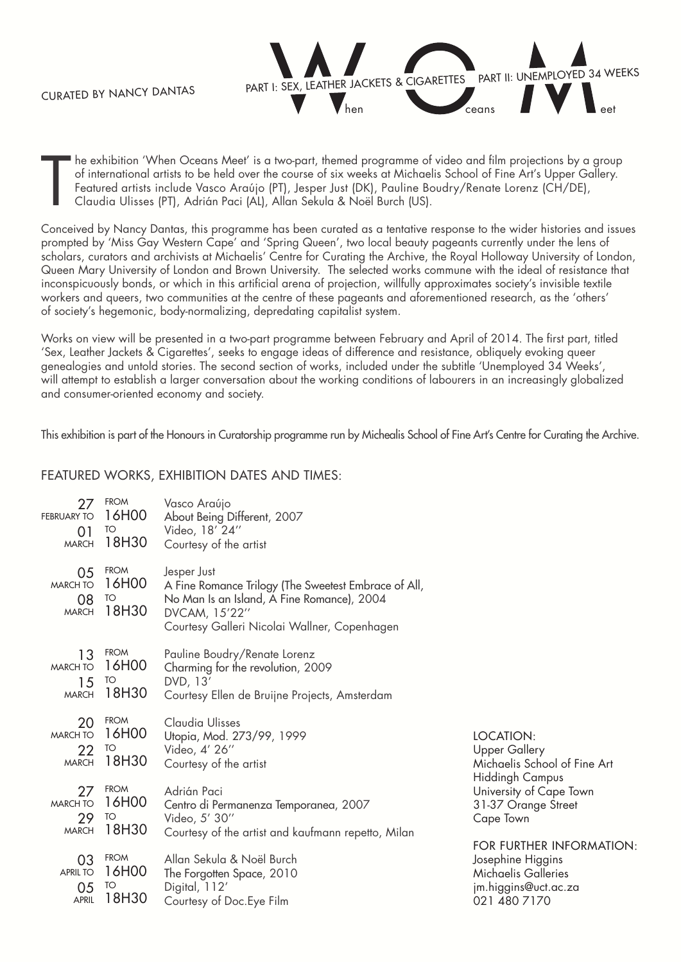Curated by Nancy Dantas



T he exhibition 'When Oceans Meet' is a two-part, themed programme of video and film projections by a group of international artists to be held over the course of six weeks at Michaelis School of Fine Art's Upper Gallery. Featured artists include Vasco Araújo (PT), Jesper Just (DK), Pauline Boudry/Renate Lorenz (CH/DE), Claudia Ulisses (PT), Adrián Paci (AL), Allan Sekula & Noël Burch (US).

Conceived by Nancy Dantas, this programme has been curated as a tentative response to the wider histories and issues prompted by 'Miss Gay Western Cape' and 'Spring Queen', two local beauty pageants currently under the lens of scholars, curators and archivists at Michaelis' Centre for Curating the Archive, the Royal Holloway University of London, Queen Mary University of London and Brown University. The selected works commune with the ideal of resistance that inconspicuously bonds, or which in this artificial arena of projection, willfully approximates society's invisible textile workers and queers, two communities at the centre of these pageants and aforementioned research, as the 'others' of society's hegemonic, body-normalizing, depredating capitalist system.

Works on view will be presented in a two-part programme between February and April of 2014. The first part, titled 'Sex, Leather Jackets & Cigarettes', seeks to engage ideas of difference and resistance, obliquely evoking queer genealogies and untold stories. The second section of works, included under the subtitle 'Unemployed 34 Weeks', will attempt to establish a larger conversation about the working conditions of labourers in an increasingly globalized and consumer-oriented economy and society.

This exhibition is part of the Honours in Curatorship programme run by Michealis School of Fine Art's Centre for Curating the Archive.

## Featured works, exhibition dates and times:

| 27                                          | <b>FROM</b>                         | Vasco Araújo                                                                                                                                                                       |                              |
|---------------------------------------------|-------------------------------------|------------------------------------------------------------------------------------------------------------------------------------------------------------------------------------|------------------------------|
| <b>FEBRUARY TO</b>                          | 16H00                               | About Being Different, 2007                                                                                                                                                        |                              |
| 01                                          | TO                                  | Video, 18' 24"                                                                                                                                                                     |                              |
| <b>MARCH</b>                                | 18H30                               | Courtesy of the artist                                                                                                                                                             |                              |
| 05<br><b>MARCH TO</b><br>08<br><b>MARCH</b> | <b>FROM</b><br>16H00<br>TO<br>18H30 | Jesper Just<br>A Fine Romance Trilogy (The Sweetest Embrace of All,<br>No Man Is an Island, A Fine Romance), 2004<br>DVCAM, 15'22"<br>Courtesy Galleri Nicolai Wallner, Copenhagen |                              |
| 13                                          | <b>FROM</b>                         | Pauline Boudry/Renate Lorenz                                                                                                                                                       |                              |
| <b>MARCH TO</b>                             | 16H00                               | Charming for the revolution, 2009                                                                                                                                                  |                              |
| 15                                          | TO                                  | DVD, 13'                                                                                                                                                                           |                              |
| <b>MARCH</b>                                | 18H30                               | Courtesy Ellen de Bruijne Projects, Amsterdam                                                                                                                                      |                              |
| 20                                          | <b>FROM</b>                         | Claudia Ulisses                                                                                                                                                                    | LOCATION:                    |
| <b>MARCH TO</b>                             | 16H00                               | Utopia, Mod. 273/99, 1999                                                                                                                                                          | Upper Gallery                |
| 22                                          | TO                                  | Video, 4' 26"                                                                                                                                                                      | Michaelis School of Fine Art |
| <b>MARCH</b>                                | 18H30                               | Courtesy of the artist                                                                                                                                                             | <b>Hiddingh Campus</b>       |
| 27                                          | <b>FROM</b>                         | Adrián Paci                                                                                                                                                                        | University of Cape Town      |
| <b>MARCH TO</b>                             | 16H00                               | Centro di Permanenza Temporanea, 2007                                                                                                                                              | 31-37 Orange Street          |
| 29                                          | TO                                  | Video, 5' 30"                                                                                                                                                                      | Cape Town                    |
| <b>MARCH</b>                                | 18H30                               | Courtesy of the artist and kaufmann repetto, Milan                                                                                                                                 | FOR FURTHER INFORMATION:     |
| 03                                          | <b>FROM</b>                         | Allan Sekula & Noël Burch                                                                                                                                                          | Josephine Higgins            |
| <b>APRIL TO</b>                             | 16H00                               | The Forgotten Space, 2010                                                                                                                                                          | Michaelis Galleries          |
| 05                                          | TO                                  | Digital, 112'                                                                                                                                                                      | jm.higgins@uct.ac.za         |
| <b>APRIL</b>                                | 18H30                               | Courtesy of Doc. Eye Film                                                                                                                                                          | 021 480 7170                 |